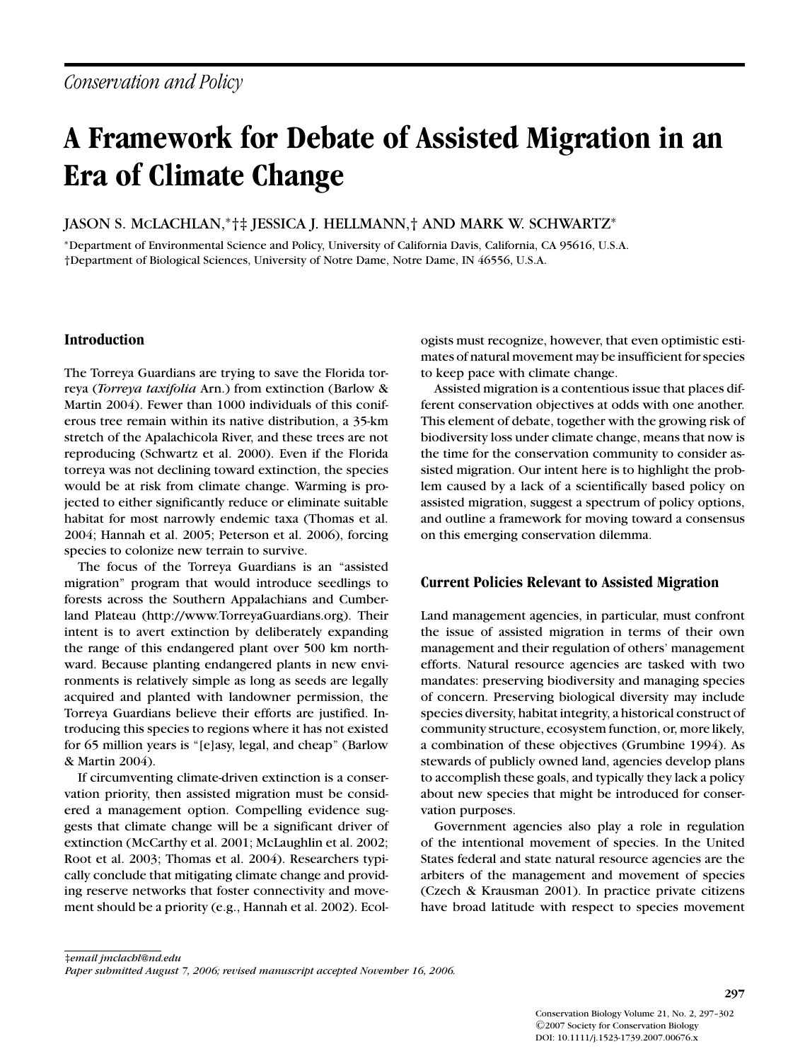# **A Framework for Debate of Assisted Migration in an Era of Climate Change**

JASON S. MCLACHLAN,∗†‡ JESSICA J. HELLMANN,† AND MARK W. SCHWARTZ<sup>∗</sup>

<sup>∗</sup>Department of Environmental Science and Policy, University of California Davis, California, CA 95616, U.S.A. †Department of Biological Sciences, University of Notre Dame, Notre Dame, IN 46556, U.S.A.

#### **Introduction**

The Torreya Guardians are trying to save the Florida torreya (*Torreya taxifolia* Arn.) from extinction (Barlow & Martin 2004). Fewer than 1000 individuals of this coniferous tree remain within its native distribution, a 35-km stretch of the Apalachicola River, and these trees are not reproducing (Schwartz et al. 2000). Even if the Florida torreya was not declining toward extinction, the species would be at risk from climate change. Warming is projected to either significantly reduce or eliminate suitable habitat for most narrowly endemic taxa (Thomas et al. 2004; Hannah et al. 2005; Peterson et al. 2006), forcing species to colonize new terrain to survive.

The focus of the Torreya Guardians is an "assisted migration" program that would introduce seedlings to forests across the Southern Appalachians and Cumberland Plateau (http://www.TorreyaGuardians.org). Their intent is to avert extinction by deliberately expanding the range of this endangered plant over 500 km northward. Because planting endangered plants in new environments is relatively simple as long as seeds are legally acquired and planted with landowner permission, the Torreya Guardians believe their efforts are justified. Introducing this species to regions where it has not existed for 65 million years is "[e]asy, legal, and cheap" (Barlow & Martin 2004).

If circumventing climate-driven extinction is a conservation priority, then assisted migration must be considered a management option. Compelling evidence suggests that climate change will be a significant driver of extinction (McCarthy et al. 2001; McLaughlin et al. 2002; Root et al. 2003; Thomas et al. 2004). Researchers typically conclude that mitigating climate change and providing reserve networks that foster connectivity and movement should be a priority (e.g., Hannah et al. 2002). Ecologists must recognize, however, that even optimistic estimates of natural movement may be insufficient for species to keep pace with climate change.

Assisted migration is a contentious issue that places different conservation objectives at odds with one another. This element of debate, together with the growing risk of biodiversity loss under climate change, means that now is the time for the conservation community to consider assisted migration. Our intent here is to highlight the problem caused by a lack of a scientifically based policy on assisted migration, suggest a spectrum of policy options, and outline a framework for moving toward a consensus on this emerging conservation dilemma.

## **Current Policies Relevant to Assisted Migration**

Land management agencies, in particular, must confront the issue of assisted migration in terms of their own management and their regulation of others' management efforts. Natural resource agencies are tasked with two mandates: preserving biodiversity and managing species of concern. Preserving biological diversity may include species diversity, habitat integrity, a historical construct of community structure, ecosystem function, or, more likely, a combination of these objectives (Grumbine 1994). As stewards of publicly owned land, agencies develop plans to accomplish these goals, and typically they lack a policy about new species that might be introduced for conservation purposes.

Government agencies also play a role in regulation of the intentional movement of species. In the United States federal and state natural resource agencies are the arbiters of the management and movement of species (Czech & Krausman 2001). In practice private citizens have broad latitude with respect to species movement

‡*email jmclachl@nd.edu*

*Paper submitted August 7, 2006; revised manuscript accepted November 16, 2006.*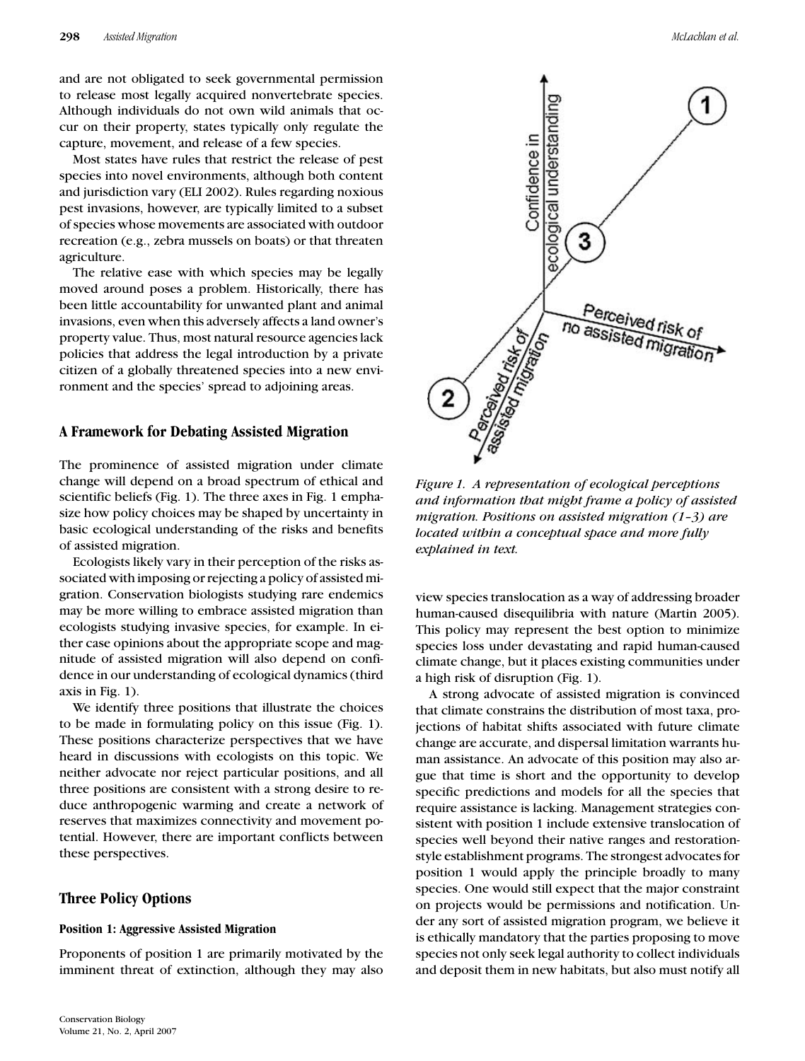and are not obligated to seek governmental permission to release most legally acquired nonvertebrate species. Although individuals do not own wild animals that occur on their property, states typically only regulate the capture, movement, and release of a few species.

Most states have rules that restrict the release of pest species into novel environments, although both content and jurisdiction vary (ELI 2002). Rules regarding noxious pest invasions, however, are typically limited to a subset of species whose movements are associated with outdoor recreation (e.g., zebra mussels on boats) or that threaten agriculture.

The relative ease with which species may be legally moved around poses a problem. Historically, there has been little accountability for unwanted plant and animal invasions, even when this adversely affects a land owner's property value. Thus, most natural resource agencies lack policies that address the legal introduction by a private citizen of a globally threatened species into a new environment and the species' spread to adjoining areas.

#### **A Framework for Debating Assisted Migration**

The prominence of assisted migration under climate change will depend on a broad spectrum of ethical and scientific beliefs (Fig. 1). The three axes in Fig. 1 emphasize how policy choices may be shaped by uncertainty in basic ecological understanding of the risks and benefits of assisted migration.

Ecologists likely vary in their perception of the risks associated with imposing or rejecting a policy of assisted migration. Conservation biologists studying rare endemics may be more willing to embrace assisted migration than ecologists studying invasive species, for example. In either case opinions about the appropriate scope and magnitude of assisted migration will also depend on confidence in our understanding of ecological dynamics (third axis in Fig. 1).

We identify three positions that illustrate the choices to be made in formulating policy on this issue (Fig. 1). These positions characterize perspectives that we have heard in discussions with ecologists on this topic. We neither advocate nor reject particular positions, and all three positions are consistent with a strong desire to reduce anthropogenic warming and create a network of reserves that maximizes connectivity and movement potential. However, there are important conflicts between these perspectives.

## **Three Policy Options**

#### **Position 1: Aggressive Assisted Migration**

Proponents of position 1 are primarily motivated by the imminent threat of extinction, although they may also



*Figure 1. A representation of ecological perceptions and information that might frame a policy of assisted migration. Positions on assisted migration (1–3) are located within a conceptual space and more fully explained in text.*

view species translocation as a way of addressing broader human-caused disequilibria with nature (Martin 2005). This policy may represent the best option to minimize species loss under devastating and rapid human-caused climate change, but it places existing communities under a high risk of disruption (Fig. 1).

A strong advocate of assisted migration is convinced that climate constrains the distribution of most taxa, projections of habitat shifts associated with future climate change are accurate, and dispersal limitation warrants human assistance. An advocate of this position may also argue that time is short and the opportunity to develop specific predictions and models for all the species that require assistance is lacking. Management strategies consistent with position 1 include extensive translocation of species well beyond their native ranges and restorationstyle establishment programs. The strongest advocates for position 1 would apply the principle broadly to many species. One would still expect that the major constraint on projects would be permissions and notification. Under any sort of assisted migration program, we believe it is ethically mandatory that the parties proposing to move species not only seek legal authority to collect individuals and deposit them in new habitats, but also must notify all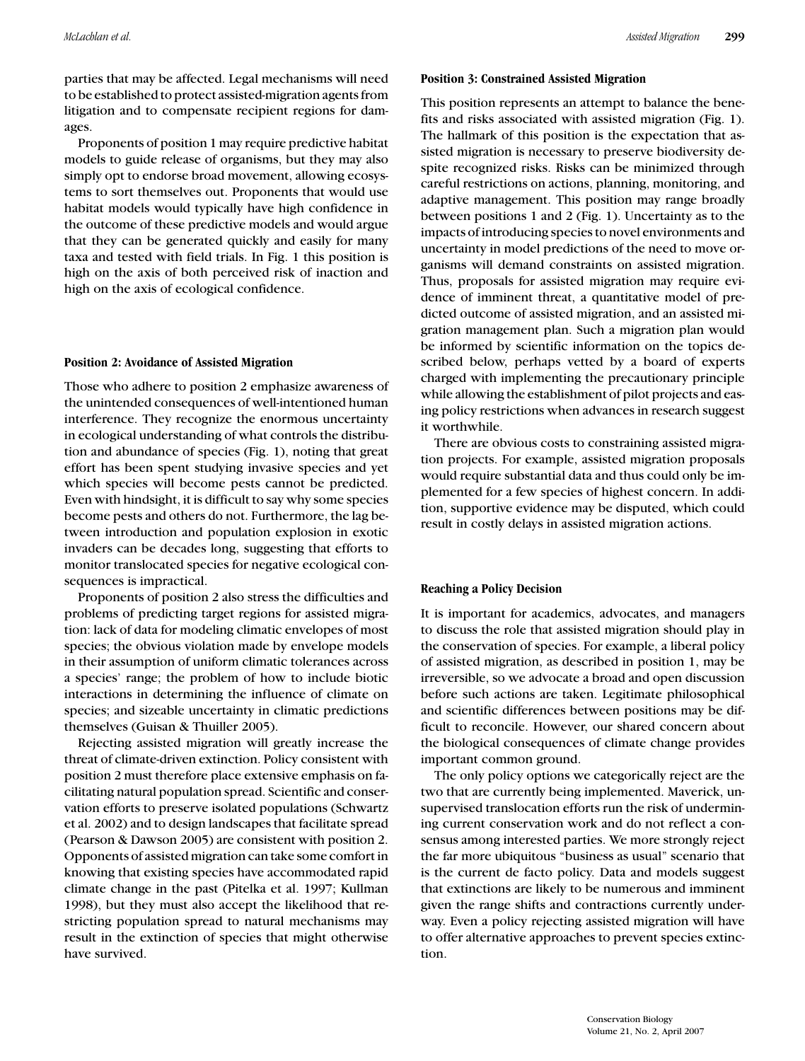parties that may be affected. Legal mechanisms will need to be established to protect assisted-migration agents from litigation and to compensate recipient regions for damages.

Proponents of position 1 may require predictive habitat models to guide release of organisms, but they may also simply opt to endorse broad movement, allowing ecosystems to sort themselves out. Proponents that would use habitat models would typically have high confidence in the outcome of these predictive models and would argue that they can be generated quickly and easily for many taxa and tested with field trials. In Fig. 1 this position is high on the axis of both perceived risk of inaction and high on the axis of ecological confidence.

#### **Position 2: Avoidance of Assisted Migration**

Those who adhere to position 2 emphasize awareness of the unintended consequences of well-intentioned human interference. They recognize the enormous uncertainty in ecological understanding of what controls the distribution and abundance of species (Fig. 1), noting that great effort has been spent studying invasive species and yet which species will become pests cannot be predicted. Even with hindsight, it is difficult to say why some species become pests and others do not. Furthermore, the lag between introduction and population explosion in exotic invaders can be decades long, suggesting that efforts to monitor translocated species for negative ecological consequences is impractical.

Proponents of position 2 also stress the difficulties and problems of predicting target regions for assisted migration: lack of data for modeling climatic envelopes of most species; the obvious violation made by envelope models in their assumption of uniform climatic tolerances across a species' range; the problem of how to include biotic interactions in determining the influence of climate on species; and sizeable uncertainty in climatic predictions themselves (Guisan & Thuiller 2005).

Rejecting assisted migration will greatly increase the threat of climate-driven extinction. Policy consistent with position 2 must therefore place extensive emphasis on facilitating natural population spread. Scientific and conservation efforts to preserve isolated populations (Schwartz et al. 2002) and to design landscapes that facilitate spread (Pearson & Dawson 2005) are consistent with position 2. Opponents of assisted migration can take some comfort in knowing that existing species have accommodated rapid climate change in the past (Pitelka et al. 1997; Kullman 1998), but they must also accept the likelihood that restricting population spread to natural mechanisms may result in the extinction of species that might otherwise have survived.

#### **Position 3: Constrained Assisted Migration**

This position represents an attempt to balance the benefits and risks associated with assisted migration (Fig. 1). The hallmark of this position is the expectation that assisted migration is necessary to preserve biodiversity despite recognized risks. Risks can be minimized through careful restrictions on actions, planning, monitoring, and adaptive management. This position may range broadly between positions 1 and 2 (Fig. 1). Uncertainty as to the impacts of introducing species to novel environments and uncertainty in model predictions of the need to move organisms will demand constraints on assisted migration. Thus, proposals for assisted migration may require evidence of imminent threat, a quantitative model of predicted outcome of assisted migration, and an assisted migration management plan. Such a migration plan would be informed by scientific information on the topics described below, perhaps vetted by a board of experts charged with implementing the precautionary principle while allowing the establishment of pilot projects and easing policy restrictions when advances in research suggest it worthwhile.

There are obvious costs to constraining assisted migration projects. For example, assisted migration proposals would require substantial data and thus could only be implemented for a few species of highest concern. In addition, supportive evidence may be disputed, which could result in costly delays in assisted migration actions.

#### **Reaching a Policy Decision**

It is important for academics, advocates, and managers to discuss the role that assisted migration should play in the conservation of species. For example, a liberal policy of assisted migration, as described in position 1, may be irreversible, so we advocate a broad and open discussion before such actions are taken. Legitimate philosophical and scientific differences between positions may be difficult to reconcile. However, our shared concern about the biological consequences of climate change provides important common ground.

The only policy options we categorically reject are the two that are currently being implemented. Maverick, unsupervised translocation efforts run the risk of undermining current conservation work and do not reflect a consensus among interested parties. We more strongly reject the far more ubiquitous "business as usual" scenario that is the current de facto policy. Data and models suggest that extinctions are likely to be numerous and imminent given the range shifts and contractions currently underway. Even a policy rejecting assisted migration will have to offer alternative approaches to prevent species extinction.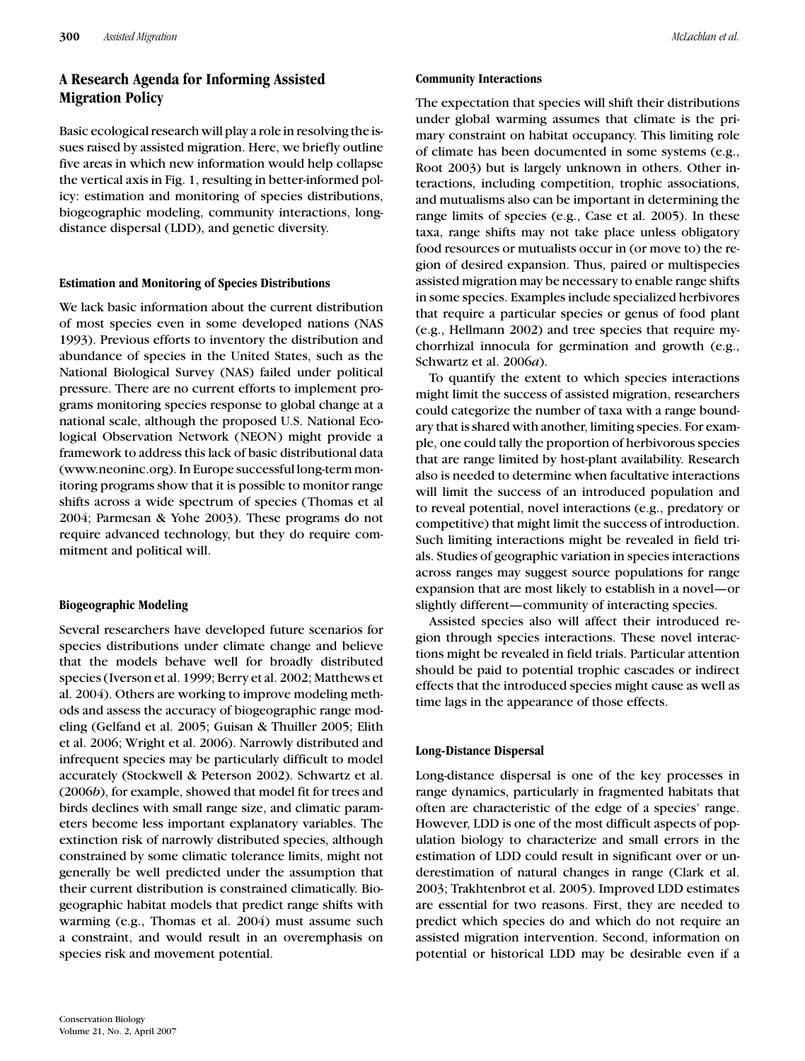# **A Research Agenda for Informing Assisted Migration Policy**

Basic ecological research will play a role in resolving the issues raised by assisted migration. Here, we briefly outline five areas in which new information would help collapse the vertical axis in Fig. 1, resulting in better-informed policy: estimation and monitoring of species distributions, biogeographic modeling, community interactions, longdistance dispersal (LDD), and genetic diversity.

#### **Estimation and Monitoring of Species Distributions**

We lack basic information about the current distribution of most species even in some developed nations (NAS 1993). Previous efforts to inventory the distribution and abundance of species in the United States, such as the National Biological Survey (NAS) failed under political pressure. There are no current efforts to implement programs monitoring species response to global change at a national scale, although the proposed U.S. National Ecological Observation Network (NEON) might provide a framework to address this lack of basic distributional data (www.neoninc.org). In Europe successful long-term monitoring programs show that it is possible to monitor range shifts across a wide spectrum of species (Thomas et al 2004; Parmesan & Yohe 2003). These programs do not require advanced technology, but they do require commitment and political will.

## **Biogeographic Modeling**

Several researchers have developed future scenarios for species distributions under climate change and believe that the models behave well for broadly distributed species (Iverson et al. 1999; Berry et al. 2002; Matthews et al. 2004). Others are working to improve modeling methods and assess the accuracy of biogeographic range modeling (Gelfand et al. 2005; Guisan & Thuiller 2005; Elith et al. 2006; Wright et al. 2006). Narrowly distributed and infrequent species may be particularly difficult to model accurately (Stockwell & Peterson 2002). Schwartz et al. (2006*b*), for example, showed that model fit for trees and birds declines with small range size, and climatic parameters become less important explanatory variables. The extinction risk of narrowly distributed species, although constrained by some climatic tolerance limits, might not generally be well predicted under the assumption that their current distribution is constrained climatically. Biogeographic habitat models that predict range shifts with warming (e.g., Thomas et al. 2004) must assume such a constraint, and would result in an overemphasis on species risk and movement potential.

#### **Community Interactions**

The expectation that species will shift their distributions under global warming assumes that climate is the primary constraint on habitat occupancy. This limiting role of climate has been documented in some systems (e.g., Root 2003) but is largely unknown in others. Other interactions, including competition, trophic associations, and mutualisms also can be important in determining the range limits of species (e.g., Case et al. 2005). In these taxa, range shifts may not take place unless obligatory food resources or mutualists occur in (or move to) the region of desired expansion. Thus, paired or multispecies assisted migration may be necessary to enable range shifts in some species. Examples include specialized herbivores that require a particular species or genus of food plant (e.g., Hellmann 2002) and tree species that require mychorrhizal innocula for germination and growth (e.g., Schwartz et al. 2006*a*).

To quantify the extent to which species interactions might limit the success of assisted migration, researchers could categorize the number of taxa with a range boundary that is shared with another, limiting species. For example, one could tally the proportion of herbivorous species that are range limited by host-plant availability. Research also is needed to determine when facultative interactions will limit the success of an introduced population and to reveal potential, novel interactions (e.g., predatory or competitive) that might limit the success of introduction. Such limiting interactions might be revealed in field trials. Studies of geographic variation in species interactions across ranges may suggest source populations for range expansion that are most likely to establish in a novel—or slightly different—community of interacting species.

Assisted species also will affect their introduced region through species interactions. These novel interactions might be revealed in field trials. Particular attention should be paid to potential trophic cascades or indirect effects that the introduced species might cause as well as time lags in the appearance of those effects.

## **Long-Distance Dispersal**

Long-distance dispersal is one of the key processes in range dynamics, particularly in fragmented habitats that often are characteristic of the edge of a species' range. However, LDD is one of the most difficult aspects of population biology to characterize and small errors in the estimation of LDD could result in significant over or underestimation of natural changes in range (Clark et al. 2003; Trakhtenbrot et al. 2005). Improved LDD estimates are essential for two reasons. First, they are needed to predict which species do and which do not require an assisted migration intervention. Second, information on potential or historical LDD may be desirable even if a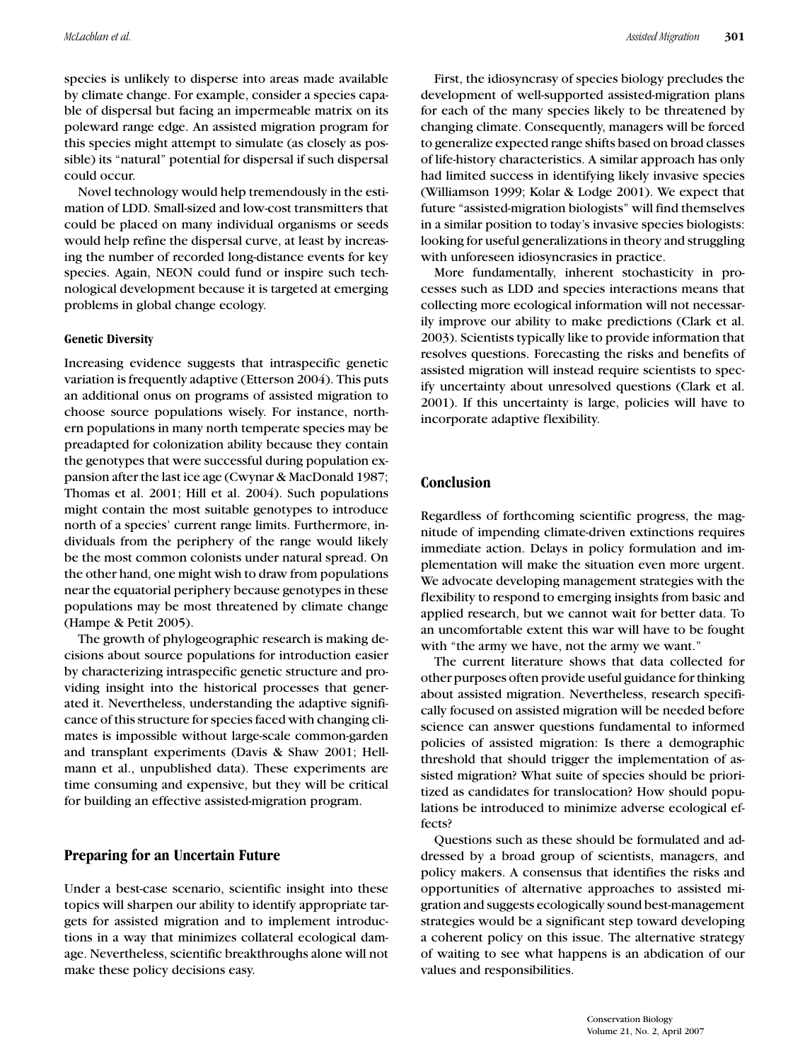species is unlikely to disperse into areas made available by climate change. For example, consider a species capable of dispersal but facing an impermeable matrix on its poleward range edge. An assisted migration program for this species might attempt to simulate (as closely as possible) its "natural" potential for dispersal if such dispersal could occur.

Novel technology would help tremendously in the estimation of LDD. Small-sized and low-cost transmitters that could be placed on many individual organisms or seeds would help refine the dispersal curve, at least by increasing the number of recorded long-distance events for key species. Again, NEON could fund or inspire such technological development because it is targeted at emerging problems in global change ecology.

#### **Genetic Diversity**

Increasing evidence suggests that intraspecific genetic variation is frequently adaptive (Etterson 2004). This puts an additional onus on programs of assisted migration to choose source populations wisely. For instance, northern populations in many north temperate species may be preadapted for colonization ability because they contain the genotypes that were successful during population expansion after the last ice age (Cwynar & MacDonald 1987; Thomas et al. 2001; Hill et al. 2004). Such populations might contain the most suitable genotypes to introduce north of a species' current range limits. Furthermore, individuals from the periphery of the range would likely be the most common colonists under natural spread. On the other hand, one might wish to draw from populations near the equatorial periphery because genotypes in these populations may be most threatened by climate change (Hampe & Petit 2005).

The growth of phylogeographic research is making decisions about source populations for introduction easier by characterizing intraspecific genetic structure and providing insight into the historical processes that generated it. Nevertheless, understanding the adaptive significance of this structure for species faced with changing climates is impossible without large-scale common-garden and transplant experiments (Davis & Shaw 2001; Hellmann et al., unpublished data). These experiments are time consuming and expensive, but they will be critical for building an effective assisted-migration program.

#### **Preparing for an Uncertain Future**

Under a best-case scenario, scientific insight into these topics will sharpen our ability to identify appropriate targets for assisted migration and to implement introductions in a way that minimizes collateral ecological damage. Nevertheless, scientific breakthroughs alone will not make these policy decisions easy.

First, the idiosyncrasy of species biology precludes the development of well-supported assisted-migration plans for each of the many species likely to be threatened by changing climate. Consequently, managers will be forced to generalize expected range shifts based on broad classes of life-history characteristics. A similar approach has only had limited success in identifying likely invasive species (Williamson 1999; Kolar & Lodge 2001). We expect that future "assisted-migration biologists" will find themselves in a similar position to today's invasive species biologists: looking for useful generalizations in theory and struggling with unforeseen idiosyncrasies in practice.

More fundamentally, inherent stochasticity in processes such as LDD and species interactions means that collecting more ecological information will not necessarily improve our ability to make predictions (Clark et al. 2003). Scientists typically like to provide information that resolves questions. Forecasting the risks and benefits of assisted migration will instead require scientists to specify uncertainty about unresolved questions (Clark et al. 2001). If this uncertainty is large, policies will have to incorporate adaptive flexibility.

# **Conclusion**

Regardless of forthcoming scientific progress, the magnitude of impending climate-driven extinctions requires immediate action. Delays in policy formulation and implementation will make the situation even more urgent. We advocate developing management strategies with the flexibility to respond to emerging insights from basic and applied research, but we cannot wait for better data. To an uncomfortable extent this war will have to be fought with "the army we have, not the army we want."

The current literature shows that data collected for other purposes often provide useful guidance for thinking about assisted migration. Nevertheless, research specifically focused on assisted migration will be needed before science can answer questions fundamental to informed policies of assisted migration: Is there a demographic threshold that should trigger the implementation of assisted migration? What suite of species should be prioritized as candidates for translocation? How should populations be introduced to minimize adverse ecological effects?

Questions such as these should be formulated and addressed by a broad group of scientists, managers, and policy makers. A consensus that identifies the risks and opportunities of alternative approaches to assisted migration and suggests ecologically sound best-management strategies would be a significant step toward developing a coherent policy on this issue. The alternative strategy of waiting to see what happens is an abdication of our values and responsibilities.